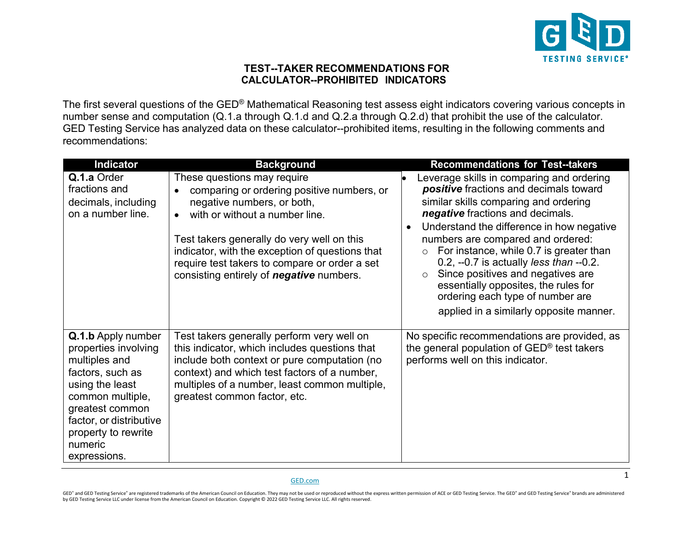

## **TEST--TAKER RECOMMENDATIONS FOR CALCULATOR--PROHIBITED INDICATORS**

The first several questions of the GED® Mathematical Reasoning test assess eight indicators covering various concepts in number sense and computation (Q.1.a through Q.1.d and Q.2.a through Q.2.d) that prohibit the use of the calculator. GED Testing Service has analyzed data on these calculator--prohibited items, resulting in the following comments and recommendations:

| <b>Indicator</b>                                                                                                                                                                                                              | <b>Background</b>                                                                                                                                                                                                                                                                                                                              | <b>Recommendations for Test--takers</b>                                                                                                                                                                                                                                                                                                                                                                                                                                                                                             |
|-------------------------------------------------------------------------------------------------------------------------------------------------------------------------------------------------------------------------------|------------------------------------------------------------------------------------------------------------------------------------------------------------------------------------------------------------------------------------------------------------------------------------------------------------------------------------------------|-------------------------------------------------------------------------------------------------------------------------------------------------------------------------------------------------------------------------------------------------------------------------------------------------------------------------------------------------------------------------------------------------------------------------------------------------------------------------------------------------------------------------------------|
| Q.1.a Order<br>fractions and<br>decimals, including<br>on a number line.                                                                                                                                                      | These questions may require<br>comparing or ordering positive numbers, or<br>negative numbers, or both,<br>with or without a number line.<br>Test takers generally do very well on this<br>indicator, with the exception of questions that<br>require test takers to compare or order a set<br>consisting entirely of <b>negative</b> numbers. | Leverage skills in comparing and ordering<br>positive fractions and decimals toward<br>similar skills comparing and ordering<br>negative fractions and decimals.<br>Understand the difference in how negative<br>$\bullet$<br>numbers are compared and ordered:<br>For instance, while 0.7 is greater than<br>0.2, --0.7 is actually <i>less than</i> --0.2.<br>Since positives and negatives are<br>$\circ$<br>essentially opposites, the rules for<br>ordering each type of number are<br>applied in a similarly opposite manner. |
| <b>Q.1.b</b> Apply number<br>properties involving<br>multiples and<br>factors, such as<br>using the least<br>common multiple,<br>greatest common<br>factor, or distributive<br>property to rewrite<br>numeric<br>expressions. | Test takers generally perform very well on<br>this indicator, which includes questions that<br>include both context or pure computation (no<br>context) and which test factors of a number,<br>multiples of a number, least common multiple,<br>greatest common factor, etc.                                                                   | No specific recommendations are provided, as<br>the general population of GED <sup>®</sup> test takers<br>performs well on this indicator.                                                                                                                                                                                                                                                                                                                                                                                          |

## [GED.com](https://www.ged.com/)

GED\* and GED Testing Service\* are registered trademarks of the American Council on Education. They may not be used or reproduced without the express written permission of ACE or GED Testing Service. The GED\* and GED Testin by GED Testing Service LLC under license from the American Council on Education. Copyright © 2022 GED Testing Service LLC. All rights reserved.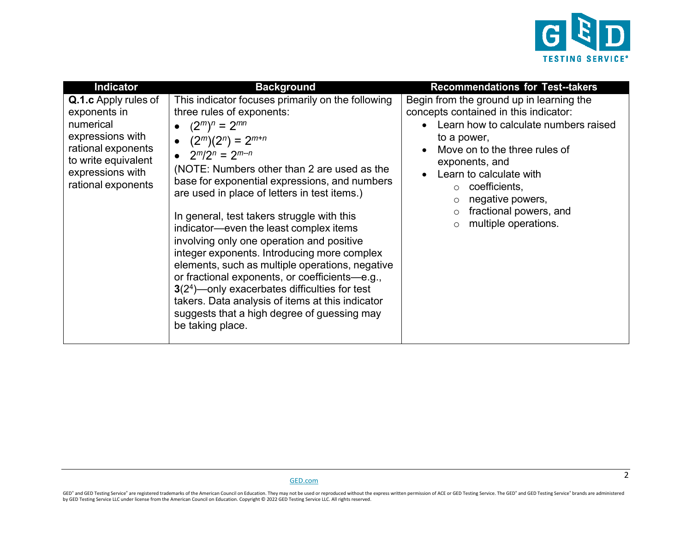

2

| <b>Indicator</b>                                                                                                                                             | <b>Background</b>                                                                                                                                                                                                                                                                                                                                                                                                                                                                                                                                                                                                                                                                                                                                                             | <b>Recommendations for Test--takers</b>                                                                                                                                                                                                                                                                                                   |
|--------------------------------------------------------------------------------------------------------------------------------------------------------------|-------------------------------------------------------------------------------------------------------------------------------------------------------------------------------------------------------------------------------------------------------------------------------------------------------------------------------------------------------------------------------------------------------------------------------------------------------------------------------------------------------------------------------------------------------------------------------------------------------------------------------------------------------------------------------------------------------------------------------------------------------------------------------|-------------------------------------------------------------------------------------------------------------------------------------------------------------------------------------------------------------------------------------------------------------------------------------------------------------------------------------------|
| Q.1.c Apply rules of<br>exponents in<br>numerical<br>expressions with<br>rational exponents<br>to write equivalent<br>expressions with<br>rational exponents | This indicator focuses primarily on the following<br>three rules of exponents:<br>$(2^m)^n = 2^{mn}$<br>• $(2^m)(2^n) = 2^{m+n}$<br>• $2^m/2^n = 2^{m-n}$<br>(NOTE: Numbers other than 2 are used as the<br>base for exponential expressions, and numbers<br>are used in place of letters in test items.)<br>In general, test takers struggle with this<br>indicator—even the least complex items<br>involving only one operation and positive<br>integer exponents. Introducing more complex<br>elements, such as multiple operations, negative<br>or fractional exponents, or coefficients-e.g.,<br>$3(24)$ - only exacerbates difficulties for test<br>takers. Data analysis of items at this indicator<br>suggests that a high degree of guessing may<br>be taking place. | Begin from the ground up in learning the<br>concepts contained in this indicator:<br>Learn how to calculate numbers raised<br>to a power,<br>Move on to the three rules of<br>$\bullet$<br>exponents, and<br>Learn to calculate with<br>coefficients,<br>negative powers,<br>fractional powers, and<br>multiple operations.<br>$\bigcirc$ |

GED® and GED Testing Service® are registered trademarks of the American Council on Education. They may not be used or reproduced without the express written permission of ACE or GED Testing Service. The GED® and GED Testin by GED Testing Service LLC under license from the American Council on Education. Copyright © 2022 GED Testing Service LLC. All rights reserved.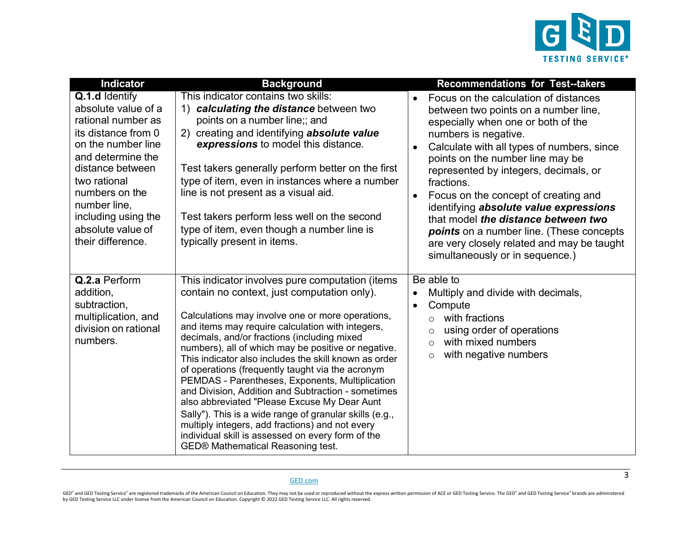

| <b>Indicator</b>                                                                                                                                                                                                                                                     | <b>Background</b>                                                                                                                                                                                                                                                                                                                                                                                                                                                                                                                                                                                                                                                                                                                                                                                 | <b>Recommendations for Test--takers</b>                                                                                                                                                                                                                                                                                                                                                                                                                                                                                                                                     |
|----------------------------------------------------------------------------------------------------------------------------------------------------------------------------------------------------------------------------------------------------------------------|---------------------------------------------------------------------------------------------------------------------------------------------------------------------------------------------------------------------------------------------------------------------------------------------------------------------------------------------------------------------------------------------------------------------------------------------------------------------------------------------------------------------------------------------------------------------------------------------------------------------------------------------------------------------------------------------------------------------------------------------------------------------------------------------------|-----------------------------------------------------------------------------------------------------------------------------------------------------------------------------------------------------------------------------------------------------------------------------------------------------------------------------------------------------------------------------------------------------------------------------------------------------------------------------------------------------------------------------------------------------------------------------|
| Q.1.d Identify<br>absolute value of a<br>rational number as<br>its distance from 0<br>on the number line<br>and determine the<br>distance between<br>two rational<br>numbers on the<br>number line,<br>including using the<br>absolute value of<br>their difference. | This indicator contains two skills:<br>1) calculating the distance between two<br>points on a number line;; and<br>creating and identifying absolute value<br>(2)<br>expressions to model this distance.<br>Test takers generally perform better on the first<br>type of item, even in instances where a number<br>line is not present as a visual aid.<br>Test takers perform less well on the second<br>type of item, even though a number line is<br>typically present in items.                                                                                                                                                                                                                                                                                                               | Focus on the calculation of distances<br>$\bullet$<br>between two points on a number line,<br>especially when one or both of the<br>numbers is negative.<br>Calculate with all types of numbers, since<br>points on the number line may be<br>represented by integers, decimals, or<br>fractions.<br>Focus on the concept of creating and<br>$\bullet$<br>identifying absolute value expressions<br>that model the distance between two<br><b>points</b> on a number line. (These concepts<br>are very closely related and may be taught<br>simultaneously or in sequence.) |
| Q.2.a Perform<br>addition,<br>subtraction,<br>multiplication, and<br>division on rational<br>numbers.                                                                                                                                                                | This indicator involves pure computation (items<br>contain no context, just computation only).<br>Calculations may involve one or more operations,<br>and items may require calculation with integers,<br>decimals, and/or fractions (including mixed<br>numbers), all of which may be positive or negative.<br>This indicator also includes the skill known as order<br>of operations (frequently taught via the acronym<br>PEMDAS - Parentheses, Exponents, Multiplication<br>and Division, Addition and Subtraction - sometimes<br>also abbreviated "Please Excuse My Dear Aunt<br>Sally"). This is a wide range of granular skills (e.g.,<br>multiply integers, add fractions) and not every<br>individual skill is assessed on every form of the<br><b>GED® Mathematical Reasoning test.</b> | Be able to<br>Multiply and divide with decimals,<br>Compute<br>$\bullet$<br>with fractions<br>$\Omega$<br>using order of operations<br>$\circ$<br>with mixed numbers<br>$\circ$<br>with negative numbers<br>$\circ$                                                                                                                                                                                                                                                                                                                                                         |

GED® and GED Testing Service® are registered trademarks of the American Council on Education. They may not be used or reproduced without the express written permission of ACE or GED Testing Service. The GED® and GED Testin by GED Testing Service LLC under license from the American Council on Education. Copyright © 2022 GED Testing Service LLC. All rights reserved.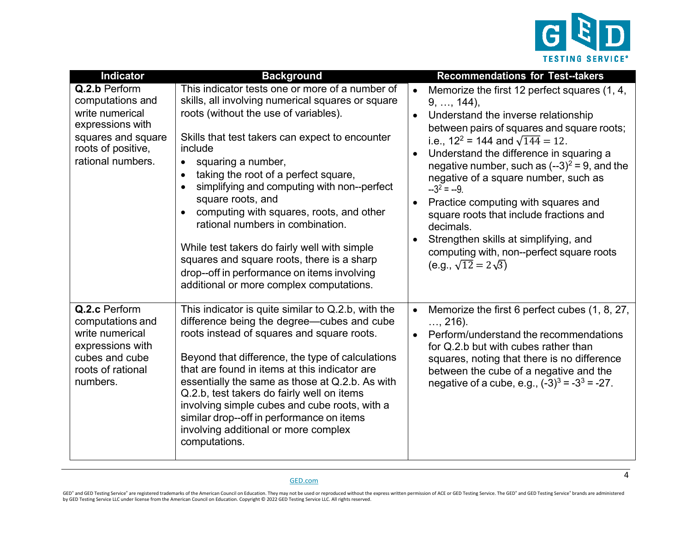

| <b>Indicator</b>                                                                                                                          | <b>Background</b>                                                                                                                                                                                                                                                                                                                                                                                                                                                                                                                                                                                                                                | <b>Recommendations for Test--takers</b>                                                                                                                                                                                                                                                                                                                                                                                                                                                                                                                                                                        |
|-------------------------------------------------------------------------------------------------------------------------------------------|--------------------------------------------------------------------------------------------------------------------------------------------------------------------------------------------------------------------------------------------------------------------------------------------------------------------------------------------------------------------------------------------------------------------------------------------------------------------------------------------------------------------------------------------------------------------------------------------------------------------------------------------------|----------------------------------------------------------------------------------------------------------------------------------------------------------------------------------------------------------------------------------------------------------------------------------------------------------------------------------------------------------------------------------------------------------------------------------------------------------------------------------------------------------------------------------------------------------------------------------------------------------------|
| Q.2.b Perform<br>computations and<br>write numerical<br>expressions with<br>squares and square<br>roots of positive,<br>rational numbers. | This indicator tests one or more of a number of<br>skills, all involving numerical squares or square<br>roots (without the use of variables).<br>Skills that test takers can expect to encounter<br>include<br>squaring a number,<br>$\bullet$<br>taking the root of a perfect square,<br>simplifying and computing with non--perfect<br>square roots, and<br>computing with squares, roots, and other<br>$\bullet$<br>rational numbers in combination.<br>While test takers do fairly well with simple<br>squares and square roots, there is a sharp<br>drop--off in performance on items involving<br>additional or more complex computations. | Memorize the first 12 perfect squares (1, 4,<br>$9, \ldots, 144$ ,<br>Understand the inverse relationship<br>between pairs of squares and square roots;<br>i.e., $12^2$ = 144 and $\sqrt{144}$ = 12.<br>Understand the difference in squaring a<br>$\bullet$<br>negative number, such as $(-3)^2 = 9$ , and the<br>negative of a square number, such as<br>$-3^2 = -9$ .<br>Practice computing with squares and<br>$\bullet$<br>square roots that include fractions and<br>decimals.<br>Strengthen skills at simplifying, and<br>computing with, non--perfect square roots<br>(e.g., $\sqrt{12} = 2\sqrt{3}$ ) |
| Q.2.c Perform<br>computations and<br>write numerical<br>expressions with<br>cubes and cube<br>roots of rational<br>numbers.               | This indicator is quite similar to Q.2.b, with the<br>difference being the degree—cubes and cube<br>roots instead of squares and square roots.<br>Beyond that difference, the type of calculations<br>that are found in items at this indicator are<br>essentially the same as those at Q.2.b. As with<br>Q.2.b, test takers do fairly well on items<br>involving simple cubes and cube roots, with a<br>similar drop--off in performance on items<br>involving additional or more complex<br>computations.                                                                                                                                      | Memorize the first 6 perfect cubes (1, 8, 27,<br>$\bullet$<br>$, 216$ ).<br>Perform/understand the recommendations<br>$\bullet$<br>for Q.2.b but with cubes rather than<br>squares, noting that there is no difference<br>between the cube of a negative and the<br>negative of a cube, e.g., $(-3)^3 = -3^3 = -27$ .                                                                                                                                                                                                                                                                                          |